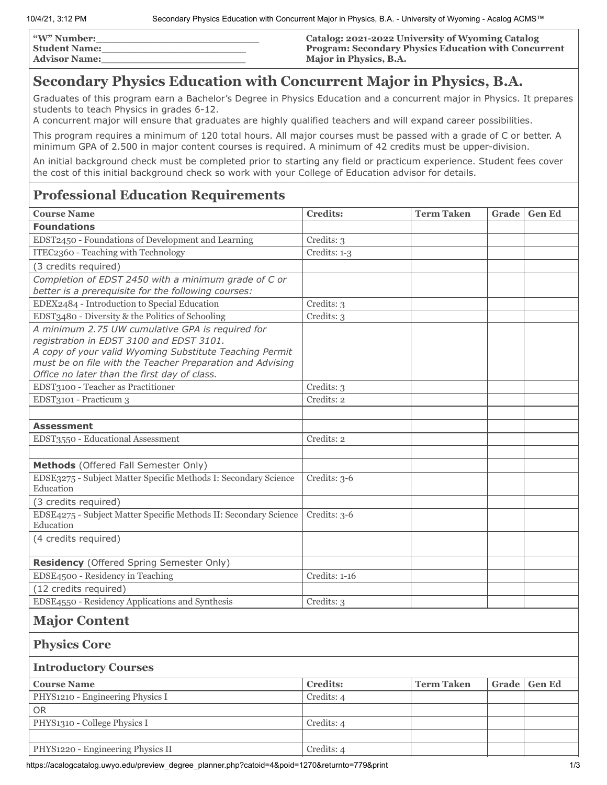| <b><i>W</i></b> " Number: | Catalog: 2021-2022 University of Wyoming Catalog            |
|---------------------------|-------------------------------------------------------------|
| <b>Student Name:</b>      | <b>Program: Secondary Physics Education with Concurrent</b> |
| <b>Advisor Name:</b>      | Major in Physics, B.A.                                      |

## **Secondary Physics Education with Concurrent Major in Physics, B.A.**

Graduates of this program earn a Bachelor's Degree in Physics Education and a concurrent major in Physics. It prepares students to teach Physics in grades 6-12.

A concurrent major will ensure that graduates are highly qualified teachers and will expand career possibilities.

This program requires a minimum of 120 total hours. All major courses must be passed with a grade of C or better. A minimum GPA of 2.500 in major content courses is required. A minimum of 42 credits must be upper-division.

An initial background check must be completed prior to starting any field or practicum experience. Student fees cover the cost of this initial background check so work with your College of Education advisor for details.

## **Professional Education Requirements**

| <b>Course Name</b>                                                                                                                                                                                                                                                   | <b>Credits:</b> | <b>Term Taken</b> | Grade | <b>Gen Ed</b> |  |  |
|----------------------------------------------------------------------------------------------------------------------------------------------------------------------------------------------------------------------------------------------------------------------|-----------------|-------------------|-------|---------------|--|--|
| <b>Foundations</b>                                                                                                                                                                                                                                                   |                 |                   |       |               |  |  |
| EDST2450 - Foundations of Development and Learning                                                                                                                                                                                                                   | Credits: 3      |                   |       |               |  |  |
| ITEC2360 - Teaching with Technology                                                                                                                                                                                                                                  | Credits: 1-3    |                   |       |               |  |  |
| (3 credits required)                                                                                                                                                                                                                                                 |                 |                   |       |               |  |  |
| Completion of EDST 2450 with a minimum grade of C or                                                                                                                                                                                                                 |                 |                   |       |               |  |  |
| better is a prerequisite for the following courses:                                                                                                                                                                                                                  |                 |                   |       |               |  |  |
| EDEX2484 - Introduction to Special Education                                                                                                                                                                                                                         | Credits: 3      |                   |       |               |  |  |
| EDST3480 - Diversity & the Politics of Schooling                                                                                                                                                                                                                     | Credits: 3      |                   |       |               |  |  |
| A minimum 2.75 UW cumulative GPA is required for<br>registration in EDST 3100 and EDST 3101.<br>A copy of your valid Wyoming Substitute Teaching Permit<br>must be on file with the Teacher Preparation and Advising<br>Office no later than the first day of class. |                 |                   |       |               |  |  |
| EDST3100 - Teacher as Practitioner                                                                                                                                                                                                                                   | Credits: 3      |                   |       |               |  |  |
| EDST3101 - Practicum 3                                                                                                                                                                                                                                               | Credits: 2      |                   |       |               |  |  |
|                                                                                                                                                                                                                                                                      |                 |                   |       |               |  |  |
| <b>Assessment</b>                                                                                                                                                                                                                                                    |                 |                   |       |               |  |  |
| EDST3550 - Educational Assessment                                                                                                                                                                                                                                    | Credits: 2      |                   |       |               |  |  |
| Methods (Offered Fall Semester Only)                                                                                                                                                                                                                                 |                 |                   |       |               |  |  |
| EDSE3275 - Subject Matter Specific Methods I: Secondary Science<br>Education                                                                                                                                                                                         | Credits: 3-6    |                   |       |               |  |  |
| (3 credits required)                                                                                                                                                                                                                                                 |                 |                   |       |               |  |  |
| EDSE4275 - Subject Matter Specific Methods II: Secondary Science<br>Education                                                                                                                                                                                        | Credits: 3-6    |                   |       |               |  |  |
| (4 credits required)                                                                                                                                                                                                                                                 |                 |                   |       |               |  |  |
| Residency (Offered Spring Semester Only)                                                                                                                                                                                                                             |                 |                   |       |               |  |  |
| EDSE4500 - Residency in Teaching                                                                                                                                                                                                                                     | Credits: 1-16   |                   |       |               |  |  |
| (12 credits required)                                                                                                                                                                                                                                                |                 |                   |       |               |  |  |
| EDSE4550 - Residency Applications and Synthesis                                                                                                                                                                                                                      | Credits: 3      |                   |       |               |  |  |
| <b>Major Content</b>                                                                                                                                                                                                                                                 |                 |                   |       |               |  |  |
| <b>Physics Core</b>                                                                                                                                                                                                                                                  |                 |                   |       |               |  |  |
| <b>Introductory Courses</b>                                                                                                                                                                                                                                          |                 |                   |       |               |  |  |
| <b>Course Name</b>                                                                                                                                                                                                                                                   | <b>Credits:</b> | <b>Term Taken</b> | Grade | <b>Gen Ed</b> |  |  |
| PHYS1210 - Engineering Physics I                                                                                                                                                                                                                                     | Credits: 4      |                   |       |               |  |  |
| <b>OR</b>                                                                                                                                                                                                                                                            |                 |                   |       |               |  |  |
| PHYS1310 - College Physics I                                                                                                                                                                                                                                         | Credits: 4      |                   |       |               |  |  |
| PHYS1220 - Engineering Physics II                                                                                                                                                                                                                                    | Credits: 4      |                   |       |               |  |  |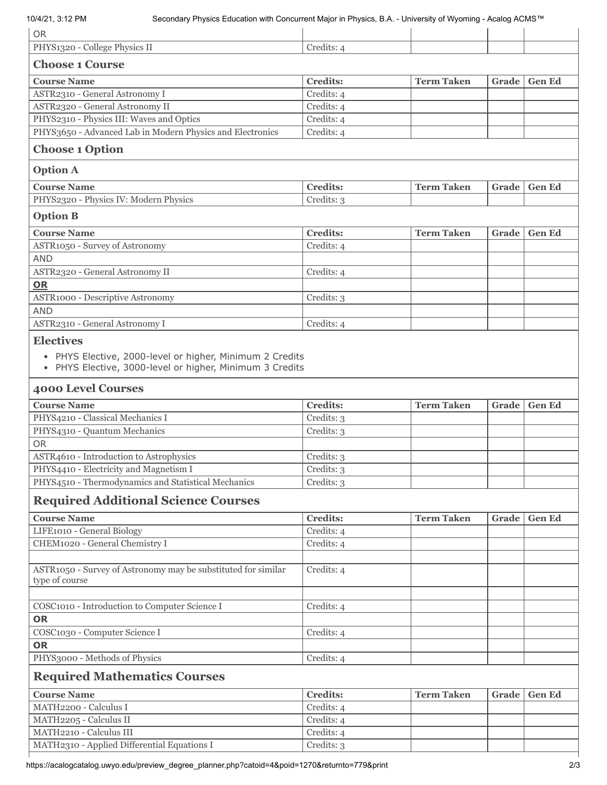| <b>OR</b>                                                                                                                                |                          |                   |       |               |  |  |  |
|------------------------------------------------------------------------------------------------------------------------------------------|--------------------------|-------------------|-------|---------------|--|--|--|
| PHYS1320 - College Physics II                                                                                                            | Credits: 4               |                   |       |               |  |  |  |
| <b>Choose 1 Course</b>                                                                                                                   |                          |                   |       |               |  |  |  |
| <b>Course Name</b>                                                                                                                       | <b>Credits:</b>          | <b>Term Taken</b> | Grade | <b>Gen Ed</b> |  |  |  |
| ASTR2310 - General Astronomy I                                                                                                           | Credits: 4               |                   |       |               |  |  |  |
| ASTR2320 - General Astronomy II                                                                                                          | Credits: 4               |                   |       |               |  |  |  |
| PHYS2310 - Physics III: Waves and Optics                                                                                                 | Credits: 4               |                   |       |               |  |  |  |
| PHYS3650 - Advanced Lab in Modern Physics and Electronics                                                                                | Credits: 4               |                   |       |               |  |  |  |
| <b>Choose 1 Option</b>                                                                                                                   |                          |                   |       |               |  |  |  |
| <b>Option A</b>                                                                                                                          |                          |                   |       |               |  |  |  |
| <b>Course Name</b>                                                                                                                       | <b>Credits:</b>          | <b>Term Taken</b> | Grade | <b>Gen Ed</b> |  |  |  |
| PHYS2320 - Physics IV: Modern Physics                                                                                                    | Credits: 3               |                   |       |               |  |  |  |
| <b>Option B</b>                                                                                                                          |                          |                   |       |               |  |  |  |
| <b>Course Name</b>                                                                                                                       | <b>Credits:</b>          | <b>Term Taken</b> | Grade | <b>Gen Ed</b> |  |  |  |
| ASTR1050 - Survey of Astronomy                                                                                                           | Credits: 4               |                   |       |               |  |  |  |
| <b>AND</b>                                                                                                                               |                          |                   |       |               |  |  |  |
| ASTR2320 - General Astronomy II                                                                                                          | Credits: 4               |                   |       |               |  |  |  |
| OR                                                                                                                                       |                          |                   |       |               |  |  |  |
| <b>ASTR1000 - Descriptive Astronomy</b>                                                                                                  | Credits: 3               |                   |       |               |  |  |  |
| <b>AND</b>                                                                                                                               |                          |                   |       |               |  |  |  |
| ASTR2310 - General Astronomy I                                                                                                           | Credits: 4               |                   |       |               |  |  |  |
| <b>Electives</b><br>• PHYS Elective, 2000-level or higher, Minimum 2 Credits<br>• PHYS Elective, 3000-level or higher, Minimum 3 Credits |                          |                   |       |               |  |  |  |
| <b>4000 Level Courses</b>                                                                                                                |                          |                   |       |               |  |  |  |
| <b>Course Name</b>                                                                                                                       | <b>Credits:</b>          | <b>Term Taken</b> | Grade | <b>Gen Ed</b> |  |  |  |
| PHYS4210 - Classical Mechanics I                                                                                                         | Credits: 3               |                   |       |               |  |  |  |
| PHYS4310 - Quantum Mechanics                                                                                                             | Credits: 3               |                   |       |               |  |  |  |
| <b>OR</b>                                                                                                                                |                          |                   |       |               |  |  |  |
| ASTR4610 - Introduction to Astrophysics                                                                                                  |                          |                   |       |               |  |  |  |
|                                                                                                                                          | Credits: 3               |                   |       |               |  |  |  |
| PHYS4410 - Electricity and Magnetism I                                                                                                   | Credits: 3               |                   |       |               |  |  |  |
| PHYS4510 - Thermodynamics and Statistical Mechanics                                                                                      | Credits: 3               |                   |       |               |  |  |  |
| <b>Required Additional Science Courses</b>                                                                                               |                          |                   |       |               |  |  |  |
| <b>Course Name</b>                                                                                                                       | <b>Credits:</b>          | <b>Term Taken</b> | Grade | <b>Gen Ed</b> |  |  |  |
| LIFE1010 - General Biology                                                                                                               | Credits: 4               |                   |       |               |  |  |  |
| CHEM1020 - General Chemistry I                                                                                                           | Credits: 4               |                   |       |               |  |  |  |
| ASTR1050 - Survey of Astronomy may be substituted for similar<br>type of course                                                          | Credits: 4               |                   |       |               |  |  |  |
|                                                                                                                                          |                          |                   |       |               |  |  |  |
| COSC1010 - Introduction to Computer Science I                                                                                            | Credits: 4               |                   |       |               |  |  |  |
| <b>OR</b>                                                                                                                                |                          |                   |       |               |  |  |  |
| COSC1030 - Computer Science I                                                                                                            | Credits: 4               |                   |       |               |  |  |  |
| <b>OR</b>                                                                                                                                |                          |                   |       |               |  |  |  |
| PHYS3000 - Methods of Physics                                                                                                            | Credits: 4               |                   |       |               |  |  |  |
| <b>Required Mathematics Courses</b>                                                                                                      |                          |                   |       |               |  |  |  |
| <b>Course Name</b>                                                                                                                       | <b>Credits:</b>          | <b>Term Taken</b> | Grade | <b>Gen Ed</b> |  |  |  |
| MATH2200 - Calculus I                                                                                                                    | Credits: 4               |                   |       |               |  |  |  |
| MATH2205 - Calculus II                                                                                                                   | Credits: 4               |                   |       |               |  |  |  |
| MATH2210 - Calculus III<br>MATH2310 - Applied Differential Equations I                                                                   | Credits: 4<br>Credits: 3 |                   |       |               |  |  |  |